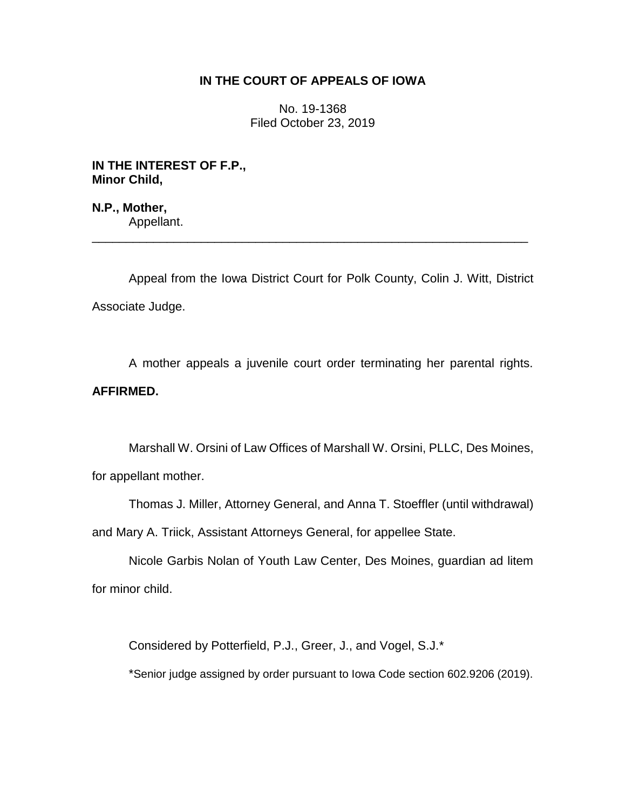# **IN THE COURT OF APPEALS OF IOWA**

No. 19-1368 Filed October 23, 2019

**IN THE INTEREST OF F.P., Minor Child,**

**N.P., Mother,** Appellant.

Appeal from the Iowa District Court for Polk County, Colin J. Witt, District Associate Judge.

\_\_\_\_\_\_\_\_\_\_\_\_\_\_\_\_\_\_\_\_\_\_\_\_\_\_\_\_\_\_\_\_\_\_\_\_\_\_\_\_\_\_\_\_\_\_\_\_\_\_\_\_\_\_\_\_\_\_\_\_\_\_\_\_

A mother appeals a juvenile court order terminating her parental rights. **AFFIRMED.**

Marshall W. Orsini of Law Offices of Marshall W. Orsini, PLLC, Des Moines, for appellant mother.

Thomas J. Miller, Attorney General, and Anna T. Stoeffler (until withdrawal) and Mary A. Triick, Assistant Attorneys General, for appellee State.

Nicole Garbis Nolan of Youth Law Center, Des Moines, guardian ad litem for minor child.

Considered by Potterfield, P.J., Greer, J., and Vogel, S.J.\*

\*Senior judge assigned by order pursuant to Iowa Code section 602.9206 (2019).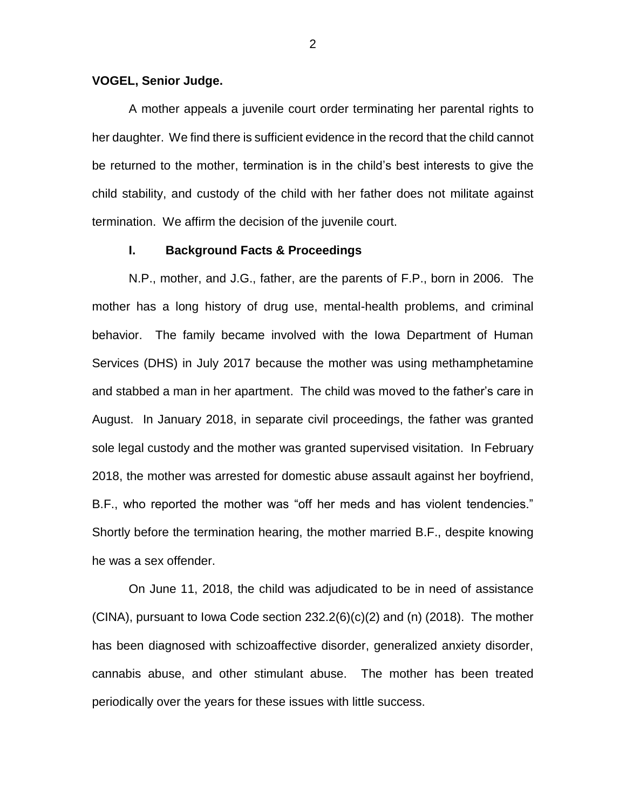#### **VOGEL, Senior Judge.**

A mother appeals a juvenile court order terminating her parental rights to her daughter. We find there is sufficient evidence in the record that the child cannot be returned to the mother, termination is in the child's best interests to give the child stability, and custody of the child with her father does not militate against termination. We affirm the decision of the juvenile court.

## **I. Background Facts & Proceedings**

N.P., mother, and J.G., father, are the parents of F.P., born in 2006. The mother has a long history of drug use, mental-health problems, and criminal behavior. The family became involved with the Iowa Department of Human Services (DHS) in July 2017 because the mother was using methamphetamine and stabbed a man in her apartment. The child was moved to the father's care in August. In January 2018, in separate civil proceedings, the father was granted sole legal custody and the mother was granted supervised visitation. In February 2018, the mother was arrested for domestic abuse assault against her boyfriend, B.F., who reported the mother was "off her meds and has violent tendencies." Shortly before the termination hearing, the mother married B.F., despite knowing he was a sex offender.

On June 11, 2018, the child was adjudicated to be in need of assistance  $(CINA)$ , pursuant to Iowa Code section 232.2 $(6)(c)(2)$  and  $(n)$  (2018). The mother has been diagnosed with schizoaffective disorder, generalized anxiety disorder, cannabis abuse, and other stimulant abuse. The mother has been treated periodically over the years for these issues with little success.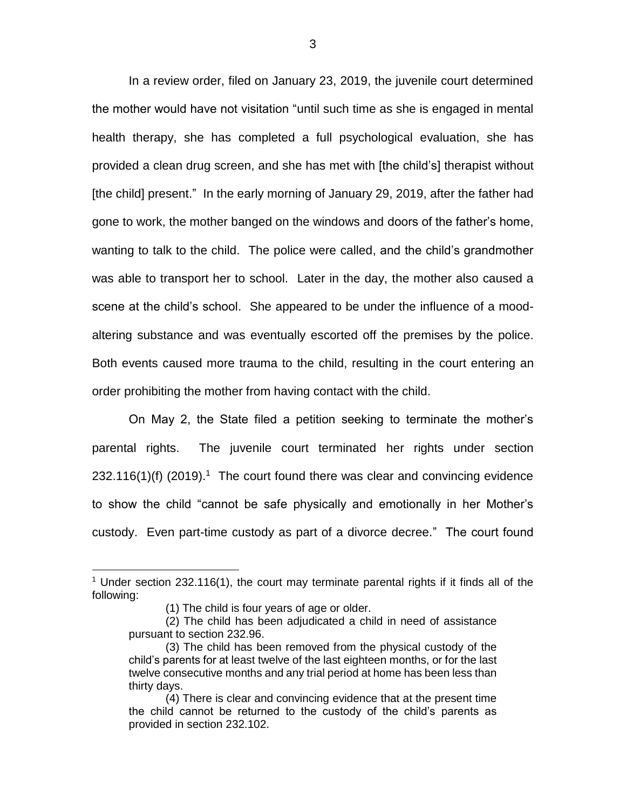In a review order, filed on January 23, 2019, the juvenile court determined the mother would have not visitation "until such time as she is engaged in mental health therapy, she has completed a full psychological evaluation, she has provided a clean drug screen, and she has met with [the child's] therapist without [the child] present." In the early morning of January 29, 2019, after the father had gone to work, the mother banged on the windows and doors of the father's home, wanting to talk to the child. The police were called, and the child's grandmother was able to transport her to school. Later in the day, the mother also caused a scene at the child's school. She appeared to be under the influence of a moodaltering substance and was eventually escorted off the premises by the police. Both events caused more trauma to the child, resulting in the court entering an order prohibiting the mother from having contact with the child.

On May 2, the State filed a petition seeking to terminate the mother's parental rights. The juvenile court terminated her rights under section  $232.116(1)$ (f) (2019).<sup>1</sup> The court found there was clear and convincing evidence to show the child "cannot be safe physically and emotionally in her Mother's custody. Even part-time custody as part of a divorce decree." The court found

 $\overline{a}$ 

<sup>&</sup>lt;sup>1</sup> Under section 232.116(1), the court may terminate parental rights if it finds all of the following:

<sup>(1)</sup> The child is four years of age or older.

<sup>(2)</sup> The child has been adjudicated a child in need of assistance pursuant to section 232.96.

<sup>(3)</sup> The child has been removed from the physical custody of the child's parents for at least twelve of the last eighteen months, or for the last twelve consecutive months and any trial period at home has been less than thirty days.

<sup>(4)</sup> There is clear and convincing evidence that at the present time the child cannot be returned to the custody of the child's parents as provided in section 232.102.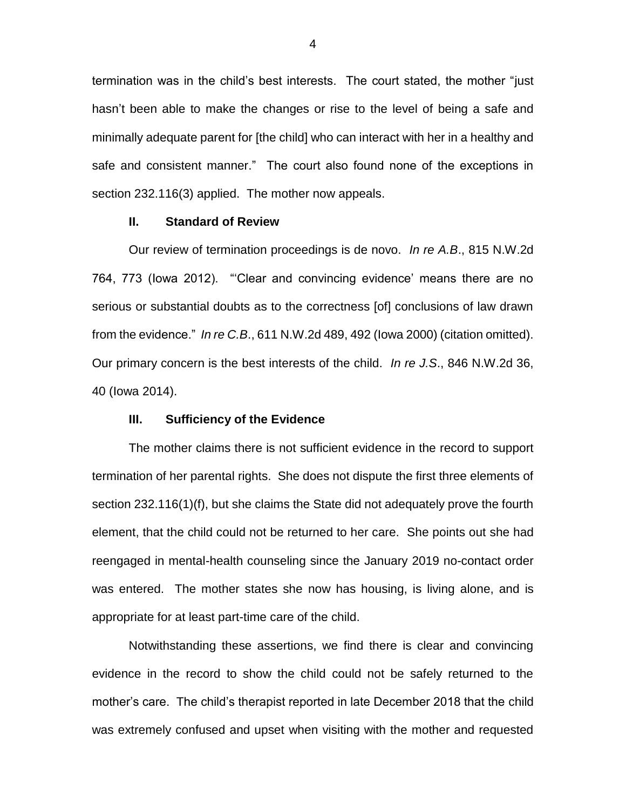termination was in the child's best interests. The court stated, the mother "just hasn't been able to make the changes or rise to the level of being a safe and minimally adequate parent for [the child] who can interact with her in a healthy and safe and consistent manner." The court also found none of the exceptions in section 232.116(3) applied. The mother now appeals.

### **II. Standard of Review**

Our review of termination proceedings is de novo. *In re A.B*., 815 N.W.2d 764, 773 (Iowa 2012). "'Clear and convincing evidence' means there are no serious or substantial doubts as to the correctness [of] conclusions of law drawn from the evidence." *In re C.B*., 611 N.W.2d 489, 492 (Iowa 2000) (citation omitted). Our primary concern is the best interests of the child. *In re J.S*., 846 N.W.2d 36, 40 (Iowa 2014).

## **III. Sufficiency of the Evidence**

The mother claims there is not sufficient evidence in the record to support termination of her parental rights. She does not dispute the first three elements of section 232.116(1)(f), but she claims the State did not adequately prove the fourth element, that the child could not be returned to her care. She points out she had reengaged in mental-health counseling since the January 2019 no-contact order was entered. The mother states she now has housing, is living alone, and is appropriate for at least part-time care of the child.

Notwithstanding these assertions, we find there is clear and convincing evidence in the record to show the child could not be safely returned to the mother's care. The child's therapist reported in late December 2018 that the child was extremely confused and upset when visiting with the mother and requested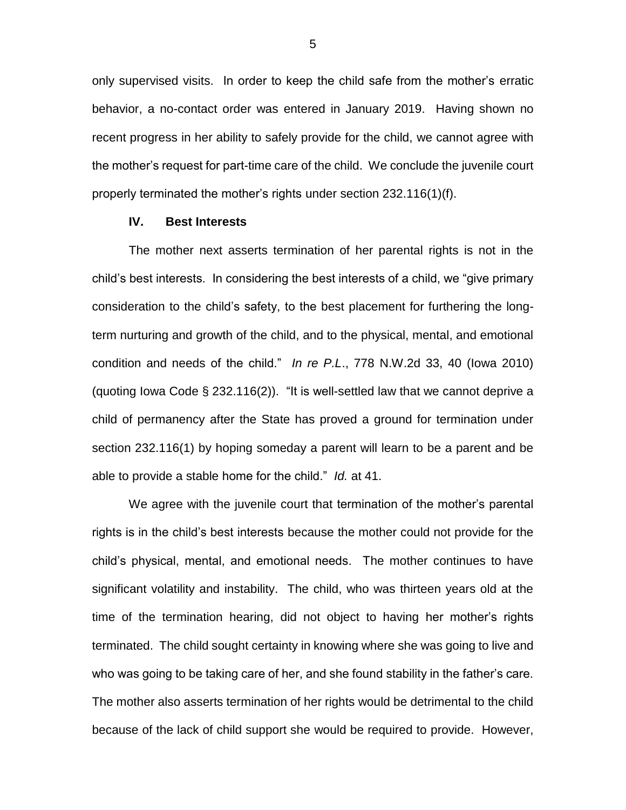only supervised visits. In order to keep the child safe from the mother's erratic behavior, a no-contact order was entered in January 2019. Having shown no recent progress in her ability to safely provide for the child, we cannot agree with the mother's request for part-time care of the child. We conclude the juvenile court properly terminated the mother's rights under section 232.116(1)(f).

### **IV. Best Interests**

The mother next asserts termination of her parental rights is not in the child's best interests. In considering the best interests of a child, we "give primary consideration to the child's safety, to the best placement for furthering the longterm nurturing and growth of the child, and to the physical, mental, and emotional condition and needs of the child." *In re P.L*., 778 N.W.2d 33, 40 (Iowa 2010) (quoting Iowa Code § 232.116(2)). "It is well-settled law that we cannot deprive a child of permanency after the State has proved a ground for termination under section 232.116(1) by hoping someday a parent will learn to be a parent and be able to provide a stable home for the child." *Id.* at 41.

We agree with the juvenile court that termination of the mother's parental rights is in the child's best interests because the mother could not provide for the child's physical, mental, and emotional needs. The mother continues to have significant volatility and instability. The child, who was thirteen years old at the time of the termination hearing, did not object to having her mother's rights terminated. The child sought certainty in knowing where she was going to live and who was going to be taking care of her, and she found stability in the father's care. The mother also asserts termination of her rights would be detrimental to the child because of the lack of child support she would be required to provide. However,